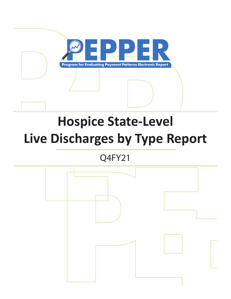

# **Hospice State-Level Live Discharges by Type Report**

Q4FY21

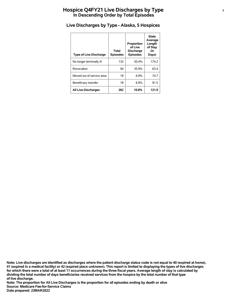# **Hospice Q4FY21 Live Discharges by Type <sup>1</sup> In Descending Order by Total Episodes**

| <b>Type of Live Discharge</b> | Total<br><b>Episodes</b> | Proportion<br>of Live<br><b>Discharge</b><br><b>Episodes</b> | <b>State</b><br>Average<br>Length<br>of Stay<br>(in<br>Days) |
|-------------------------------|--------------------------|--------------------------------------------------------------|--------------------------------------------------------------|
| No longer terminally ill      | 132                      | 50.4%                                                        | 174.2                                                        |
| Revocation                    | 94                       | 35.9%                                                        | 63.4                                                         |
| Moved out of service area     | 18                       | 6.9%                                                         | 74.7                                                         |
| Beneficiary transfer          | 18                       | 6.9%                                                         | 91.5                                                         |
| <b>All Live Discharges</b>    | 262                      | 10.8%                                                        | 121.9                                                        |

# **Live Discharges by Type - Alaska, 5 Hospices**

**of live discharge. dividing the total number of days beneficiaries received services from the hospice by the total number of that type for which there were a total of at least 11 occurrences during the three fiscal years. Average length of stay is calculated by 41 (expired in a medical facility) or 42 (expired place unknown). This report is limited to displaying the types of live discharges Note: Live discharges are identified as discharges where the patient discharge status code is not equal to 40 (expired at home),**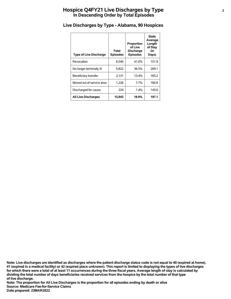# **Hospice Q4FY21 Live Discharges by Type <sup>2</sup> In Descending Order by Total Episodes**

| <b>Type of Live Discharge</b> | Total<br><b>Episodes</b> | Proportion<br>of Live<br><b>Discharge</b><br><b>Episodes</b> | <b>State</b><br>Average<br>Length<br>of Stay<br>(in<br>Days) |
|-------------------------------|--------------------------|--------------------------------------------------------------|--------------------------------------------------------------|
| Revocation                    | 6,540                    | 41.0%                                                        | 151.9                                                        |
| No longer terminally ill      | 5,822                    | 36.5%                                                        | 269.1                                                        |
| Beneficiary transfer          | 2,131                    | 13.4%                                                        | 165.2                                                        |
| Moved out of service area     | 1,226                    | 7.7%                                                         | 160.8                                                        |
| Discharged for cause          | 224                      | 1.4%                                                         | 145.6                                                        |
| <b>All Live Discharges</b>    | 15,943                   | 18.9%                                                        | 197.1                                                        |

# **Live Discharges by Type - Alabama, 90 Hospices**

**of live discharge. dividing the total number of days beneficiaries received services from the hospice by the total number of that type for which there were a total of at least 11 occurrences during the three fiscal years. Average length of stay is calculated by 41 (expired in a medical facility) or 42 (expired place unknown). This report is limited to displaying the types of live discharges Note: Live discharges are identified as discharges where the patient discharge status code is not equal to 40 (expired at home),**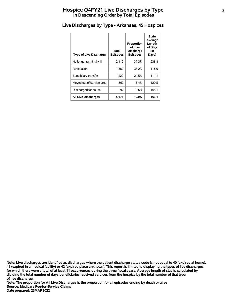# **Hospice Q4FY21 Live Discharges by Type <sup>3</sup> In Descending Order by Total Episodes**

| <b>Type of Live Discharge</b> | Total<br><b>Episodes</b> | Proportion<br>of Live<br><b>Discharge</b><br><b>Episodes</b> | <b>State</b><br>Average<br>Length<br>of Stay<br>(in<br>Days) |
|-------------------------------|--------------------------|--------------------------------------------------------------|--------------------------------------------------------------|
| No longer terminally ill      | 2,119                    | 37.3%                                                        | 238.8                                                        |
| Revocation                    | 1,882                    | 33.2%                                                        | 118.0                                                        |
| Beneficiary transfer          | 1,220                    | 21.5%                                                        | 111.1                                                        |
| Moved out of service area     | 362                      | 6.4%                                                         | 129.5                                                        |
| Discharged for cause          | 92                       | 1.6%                                                         | 165.1                                                        |
| <b>All Live Discharges</b>    | 5,675                    | 12.0%                                                        | 163.1                                                        |

# **Live Discharges by Type - Arkansas, 45 Hospices**

**of live discharge. dividing the total number of days beneficiaries received services from the hospice by the total number of that type for which there were a total of at least 11 occurrences during the three fiscal years. Average length of stay is calculated by 41 (expired in a medical facility) or 42 (expired place unknown). This report is limited to displaying the types of live discharges Note: Live discharges are identified as discharges where the patient discharge status code is not equal to 40 (expired at home),**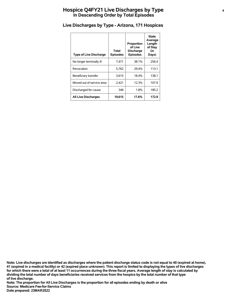# **Hospice Q4FY21 Live Discharges by Type <sup>4</sup> In Descending Order by Total Episodes**

| <b>Type of Live Discharge</b> | Total<br><b>Episodes</b> | Proportion<br>of Live<br><b>Discharge</b><br><b>Episodes</b> | <b>State</b><br>Average<br>Length<br>of Stay<br>(in<br>Days) |
|-------------------------------|--------------------------|--------------------------------------------------------------|--------------------------------------------------------------|
| No longer terminally ill      | 7,471                    | 38.1%                                                        | 256.4                                                        |
| Revocation                    | 5.762                    | 29.4%                                                        | 113.1                                                        |
| Beneficiary transfer          | 3,615                    | 18.4%                                                        | 138.1                                                        |
| Moved out of service area     | 2,421                    | 12.3%                                                        | 107.9                                                        |
| Discharged for cause          | 346                      | 1.8%                                                         | 185.2                                                        |
| <b>All Live Discharges</b>    | 19,615                   | 17.6%                                                        | 172.9                                                        |

# **Live Discharges by Type - Arizona, 171 Hospices**

**of live discharge. dividing the total number of days beneficiaries received services from the hospice by the total number of that type for which there were a total of at least 11 occurrences during the three fiscal years. Average length of stay is calculated by 41 (expired in a medical facility) or 42 (expired place unknown). This report is limited to displaying the types of live discharges Note: Live discharges are identified as discharges where the patient discharge status code is not equal to 40 (expired at home),**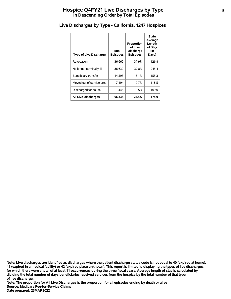# **Hospice Q4FY21 Live Discharges by Type <sup>5</sup> In Descending Order by Total Episodes**

| <b>Type of Live Discharge</b> | Total<br><b>Episodes</b> | Proportion<br>of Live<br><b>Discharge</b><br><b>Episodes</b> | State<br>Average<br>Length<br>of Stay<br>(in<br>Days) |
|-------------------------------|--------------------------|--------------------------------------------------------------|-------------------------------------------------------|
| Revocation                    | 36.669                   | 37.9%                                                        | 126.8                                                 |
| No longer terminally ill      | 36,630                   | 37.8%                                                        | 245.4                                                 |
| Beneficiary transfer          | 14,593                   | 15.1%                                                        | 155.3                                                 |
| Moved out of service area     | 7,494                    | 7.7%                                                         | 118.5                                                 |
| Discharged for cause          | 1.448                    | 1.5%                                                         | 169.0                                                 |
| <b>All Live Discharges</b>    | 96.834                   | 23.4%                                                        | 175.9                                                 |

# **Live Discharges by Type - California, 1247 Hospices**

**of live discharge. dividing the total number of days beneficiaries received services from the hospice by the total number of that type for which there were a total of at least 11 occurrences during the three fiscal years. Average length of stay is calculated by 41 (expired in a medical facility) or 42 (expired place unknown). This report is limited to displaying the types of live discharges Note: Live discharges are identified as discharges where the patient discharge status code is not equal to 40 (expired at home),**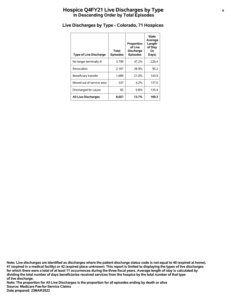# **Hospice Q4FY21 Live Discharges by Type <sup>6</sup> In Descending Order by Total Episodes**

| <b>Type of Live Discharge</b> | Total<br><b>Episodes</b> | Proportion<br>of Live<br><b>Discharge</b><br><b>Episodes</b> | <b>State</b><br>Average<br>Length<br>of Stay<br>(in<br>Days) |
|-------------------------------|--------------------------|--------------------------------------------------------------|--------------------------------------------------------------|
| No longer terminally ill      | 3,799                    | 47.2%                                                        | 226.4                                                        |
| Revocation                    | 2,167                    | 26.9%                                                        | 95.2                                                         |
| Beneficiary transfer          | 1,689                    | 21.0%                                                        | 143.9                                                        |
| Moved out of service area     | 337                      | 4.2%                                                         | 137.0                                                        |
| Discharged for cause          | 65                       | 0.8%                                                         | 135.4                                                        |
| <b>All Live Discharges</b>    | 8,057                    | 13.7%                                                        | 169.3                                                        |

# **Live Discharges by Type - Colorado, 71 Hospices**

**of live discharge. dividing the total number of days beneficiaries received services from the hospice by the total number of that type for which there were a total of at least 11 occurrences during the three fiscal years. Average length of stay is calculated by 41 (expired in a medical facility) or 42 (expired place unknown). This report is limited to displaying the types of live discharges Note: Live discharges are identified as discharges where the patient discharge status code is not equal to 40 (expired at home),**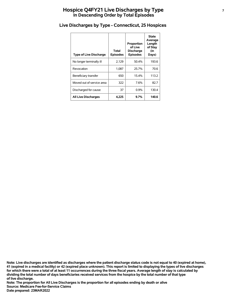# **Hospice Q4FY21 Live Discharges by Type <sup>7</sup> In Descending Order by Total Episodes**

| <b>Type of Live Discharge</b> | Total<br><b>Episodes</b> | Proportion<br>of Live<br><b>Discharge</b><br><b>Episodes</b> | <b>State</b><br>Average<br>Length<br>of Stay<br>(in<br>Days) |
|-------------------------------|--------------------------|--------------------------------------------------------------|--------------------------------------------------------------|
| No longer terminally ill      | 2,129                    | 50.4%                                                        | 193.6                                                        |
| Revocation                    | 1.087                    | 25.7%                                                        | 70.6                                                         |
| Beneficiary transfer          | 650                      | 15.4%                                                        | 113.2                                                        |
| Moved out of service area     | 322                      | 7.6%                                                         | 82.7                                                         |
| Discharged for cause          | 37                       | $0.9\%$                                                      | 130.4                                                        |
| <b>All Live Discharges</b>    | 4.225                    | 9.7%                                                         | 140.6                                                        |

# **Live Discharges by Type - Connecticut, 25 Hospices**

**of live discharge. dividing the total number of days beneficiaries received services from the hospice by the total number of that type for which there were a total of at least 11 occurrences during the three fiscal years. Average length of stay is calculated by 41 (expired in a medical facility) or 42 (expired place unknown). This report is limited to displaying the types of live discharges Note: Live discharges are identified as discharges where the patient discharge status code is not equal to 40 (expired at home),**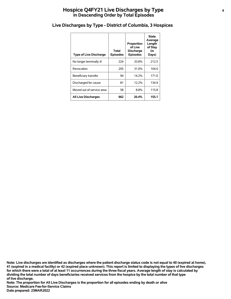# **Hospice Q4FY21 Live Discharges by Type <sup>8</sup> In Descending Order by Total Episodes**

| <b>Type of Live Discharge</b> | Total<br><b>Episodes</b> | Proportion<br>of Live<br><b>Discharge</b><br><b>Episodes</b> | <b>State</b><br>Average<br>Length<br>of Stay<br>(in<br>Days) |
|-------------------------------|--------------------------|--------------------------------------------------------------|--------------------------------------------------------------|
| No longer terminally ill      | 224                      | 33.8%                                                        | 212.5                                                        |
| Revocation                    | 205                      | 31.0%                                                        | 104.0                                                        |
| Beneficiary transfer          | 94                       | 14.2%                                                        | 171.0                                                        |
| Discharged for cause          | 81                       | 12.2%                                                        | 134.9                                                        |
| Moved out of service area     | 58                       | 8.8%                                                         | 115.8                                                        |
| <b>All Live Discharges</b>    | 662                      | 20.4%                                                        | 155.1                                                        |

#### **Live Discharges by Type - District of Columbia, 3 Hospices**

**of live discharge. dividing the total number of days beneficiaries received services from the hospice by the total number of that type for which there were a total of at least 11 occurrences during the three fiscal years. Average length of stay is calculated by 41 (expired in a medical facility) or 42 (expired place unknown). This report is limited to displaying the types of live discharges Note: Live discharges are identified as discharges where the patient discharge status code is not equal to 40 (expired at home),**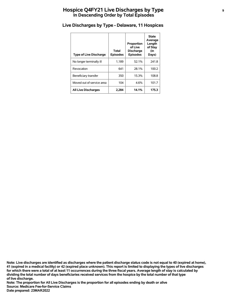# **Hospice Q4FY21 Live Discharges by Type <sup>9</sup> In Descending Order by Total Episodes**

| <b>Type of Live Discharge</b> | Total<br><b>Episodes</b> | Proportion<br>of Live<br><b>Discharge</b><br><b>Episodes</b> | <b>State</b><br>Average<br>Length<br>of Stay<br>(in<br>Days) |
|-------------------------------|--------------------------|--------------------------------------------------------------|--------------------------------------------------------------|
| No longer terminally ill      | 1.189                    | 52.1%                                                        | 241.8                                                        |
| Revocation                    | 641                      | 28.1%                                                        | 100.2                                                        |
| Beneficiary transfer          | 350                      | 15.3%                                                        | 108.8                                                        |
| Moved out of service area     | 104                      | 4.6%                                                         | 101.7                                                        |
| <b>All Live Discharges</b>    | 2,284                    | 14.1%                                                        | 175.3                                                        |

# **Live Discharges by Type - Delaware, 11 Hospices**

**of live discharge. dividing the total number of days beneficiaries received services from the hospice by the total number of that type for which there were a total of at least 11 occurrences during the three fiscal years. Average length of stay is calculated by 41 (expired in a medical facility) or 42 (expired place unknown). This report is limited to displaying the types of live discharges Note: Live discharges are identified as discharges where the patient discharge status code is not equal to 40 (expired at home),**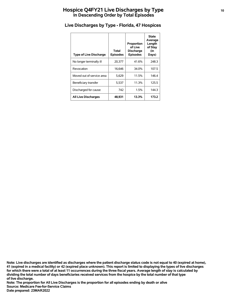# **Hospice Q4FY21 Live Discharges by Type <sup>10</sup> In Descending Order by Total Episodes**

| <b>Type of Live Discharge</b> | Total<br><b>Episodes</b> | Proportion<br>of Live<br><b>Discharge</b><br><b>Episodes</b> | <b>State</b><br>Average<br>Length<br>of Stay<br>(in<br>Days) |
|-------------------------------|--------------------------|--------------------------------------------------------------|--------------------------------------------------------------|
| No longer terminally ill      | 20.377                   | 41.6%                                                        | 248.3                                                        |
| Revocation                    | 16.646                   | 34.0%                                                        | 107.5                                                        |
| Moved out of service area     | 5,629                    | 11.5%                                                        | 146.4                                                        |
| Beneficiary transfer          | 5,537                    | 11.3%                                                        | 125.5                                                        |
| Discharged for cause          | 742                      | 1.5%                                                         | 144.3                                                        |
| <b>All Live Discharges</b>    | 48,931                   | 13.3%                                                        | 173.2                                                        |

# **Live Discharges by Type - Florida, 47 Hospices**

**of live discharge. dividing the total number of days beneficiaries received services from the hospice by the total number of that type for which there were a total of at least 11 occurrences during the three fiscal years. Average length of stay is calculated by 41 (expired in a medical facility) or 42 (expired place unknown). This report is limited to displaying the types of live discharges Note: Live discharges are identified as discharges where the patient discharge status code is not equal to 40 (expired at home),**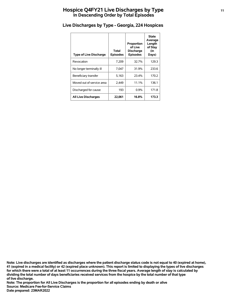# **Hospice Q4FY21 Live Discharges by Type <sup>11</sup> In Descending Order by Total Episodes**

| <b>Type of Live Discharge</b> | Total<br><b>Episodes</b> | Proportion<br>of Live<br><b>Discharge</b><br><b>Episodes</b> | State<br>Average<br>Length<br>of Stay<br>(in<br>Days) |
|-------------------------------|--------------------------|--------------------------------------------------------------|-------------------------------------------------------|
| Revocation                    | 7,209                    | 32.7%                                                        | 129.3                                                 |
| No longer terminally ill      | 7.047                    | 31.9%                                                        | 233.6                                                 |
| Beneficiary transfer          | 5,163                    | 23.4%                                                        | 170.2                                                 |
| Moved out of service area     | 2,449                    | 11.1%                                                        | 136.1                                                 |
| Discharged for cause          | 193                      | $0.9\%$                                                      | 171.8                                                 |
| <b>All Live Discharges</b>    | 22,061                   | 16.8%                                                        | 173.3                                                 |

# **Live Discharges by Type - Georgia, 224 Hospices**

**of live discharge. dividing the total number of days beneficiaries received services from the hospice by the total number of that type for which there were a total of at least 11 occurrences during the three fiscal years. Average length of stay is calculated by 41 (expired in a medical facility) or 42 (expired place unknown). This report is limited to displaying the types of live discharges Note: Live discharges are identified as discharges where the patient discharge status code is not equal to 40 (expired at home),**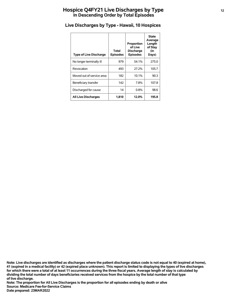# **Hospice Q4FY21 Live Discharges by Type <sup>12</sup> In Descending Order by Total Episodes**

| <b>Type of Live Discharge</b> | Total<br><b>Episodes</b> | Proportion<br>of Live<br><b>Discharge</b><br><b>Episodes</b> | <b>State</b><br>Average<br>Length<br>of Stay<br>(in<br>Days) |
|-------------------------------|--------------------------|--------------------------------------------------------------|--------------------------------------------------------------|
| No longer terminally ill      | 979                      | 54.1%                                                        | 275.0                                                        |
| Revocation                    | 493                      | 27.2%                                                        | 105.7                                                        |
| Moved out of service area     | 182                      | 10.1%                                                        | 90.3                                                         |
| Beneficiary transfer          | 142                      | 7.8%                                                         | 107.8                                                        |
| Discharged for cause          | 14                       | $0.8\%$                                                      | 98.6                                                         |
| <b>All Live Discharges</b>    | 1,810                    | 12.0%                                                        | 195.8                                                        |

# **Live Discharges by Type - Hawaii, 10 Hospices**

**of live discharge. dividing the total number of days beneficiaries received services from the hospice by the total number of that type for which there were a total of at least 11 occurrences during the three fiscal years. Average length of stay is calculated by 41 (expired in a medical facility) or 42 (expired place unknown). This report is limited to displaying the types of live discharges Note: Live discharges are identified as discharges where the patient discharge status code is not equal to 40 (expired at home),**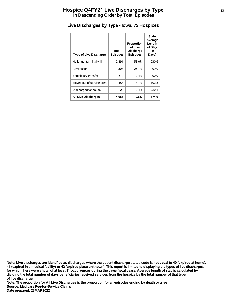# **Hospice Q4FY21 Live Discharges by Type <sup>13</sup> In Descending Order by Total Episodes**

| <b>Type of Live Discharge</b> | Total<br><b>Episodes</b> | Proportion<br>of Live<br><b>Discharge</b><br><b>Episodes</b> | <b>State</b><br>Average<br>Length<br>of Stay<br>(in<br>Days) |
|-------------------------------|--------------------------|--------------------------------------------------------------|--------------------------------------------------------------|
| No longer terminally ill      | 2,891                    | 58.0%                                                        | 230.6                                                        |
| Revocation                    | 1,303                    | 26.1%                                                        | 99.0                                                         |
| Beneficiary transfer          | 619                      | 12.4%                                                        | 90.9                                                         |
| Moved out of service area     | 154                      | 3.1%                                                         | 102.8                                                        |
| Discharged for cause          | 21                       | 0.4%                                                         | 220.1                                                        |
| <b>All Live Discharges</b>    | 4.988                    | $9.6\%$                                                      | 174.9                                                        |

# **Live Discharges by Type - Iowa, 75 Hospices**

**of live discharge. dividing the total number of days beneficiaries received services from the hospice by the total number of that type for which there were a total of at least 11 occurrences during the three fiscal years. Average length of stay is calculated by 41 (expired in a medical facility) or 42 (expired place unknown). This report is limited to displaying the types of live discharges Note: Live discharges are identified as discharges where the patient discharge status code is not equal to 40 (expired at home),**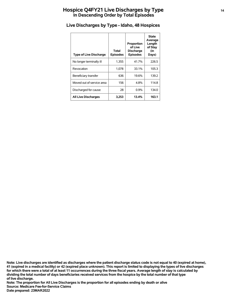# **Hospice Q4FY21 Live Discharges by Type <sup>14</sup> In Descending Order by Total Episodes**

| <b>Type of Live Discharge</b> | Total<br><b>Episodes</b> | Proportion<br>of Live<br><b>Discharge</b><br><b>Episodes</b> | <b>State</b><br>Average<br>Length<br>of Stay<br>(in<br>Days) |
|-------------------------------|--------------------------|--------------------------------------------------------------|--------------------------------------------------------------|
| No longer terminally ill      | 1,355                    | 41.7%                                                        | 226.5                                                        |
| Revocation                    | 1,078                    | 33.1%                                                        | 105.3                                                        |
| Beneficiary transfer          | 636                      | 19.6%                                                        | 139.2                                                        |
| Moved out of service area     | 156                      | 4.8%                                                         | 114.8                                                        |
| Discharged for cause          | 28                       | 0.9%                                                         | 134.0                                                        |
| <b>All Live Discharges</b>    | 3,253                    | 13.4%                                                        | 163.1                                                        |

# **Live Discharges by Type - Idaho, 48 Hospices**

**of live discharge. dividing the total number of days beneficiaries received services from the hospice by the total number of that type for which there were a total of at least 11 occurrences during the three fiscal years. Average length of stay is calculated by 41 (expired in a medical facility) or 42 (expired place unknown). This report is limited to displaying the types of live discharges Note: Live discharges are identified as discharges where the patient discharge status code is not equal to 40 (expired at home),**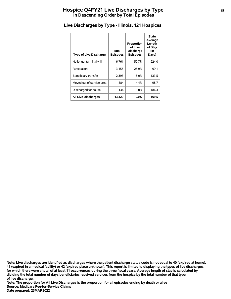# **Hospice Q4FY21 Live Discharges by Type <sup>15</sup> In Descending Order by Total Episodes**

| <b>Type of Live Discharge</b> | Total<br><b>Episodes</b> | Proportion<br>of Live<br><b>Discharge</b><br><b>Episodes</b> | <b>State</b><br>Average<br>Length<br>of Stay<br>(in<br>Days) |
|-------------------------------|--------------------------|--------------------------------------------------------------|--------------------------------------------------------------|
| No longer terminally ill      | 6,761                    | 50.7%                                                        | 224.0                                                        |
| Revocation                    | 3,455                    | 25.9%                                                        | 99.1                                                         |
| Beneficiary transfer          | 2,393                    | 18.0%                                                        | 133.5                                                        |
| Moved out of service area     | 584                      | $4.4\%$                                                      | 98.7                                                         |
| Discharged for cause          | 136                      | 1.0%                                                         | 186.3                                                        |
| <b>All Live Discharges</b>    | 13.329                   | $9.0\%$                                                      | 169.5                                                        |

# **Live Discharges by Type - Illinois, 121 Hospices**

**of live discharge. dividing the total number of days beneficiaries received services from the hospice by the total number of that type for which there were a total of at least 11 occurrences during the three fiscal years. Average length of stay is calculated by 41 (expired in a medical facility) or 42 (expired place unknown). This report is limited to displaying the types of live discharges Note: Live discharges are identified as discharges where the patient discharge status code is not equal to 40 (expired at home),**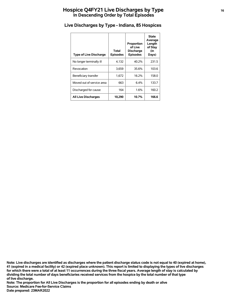# **Hospice Q4FY21 Live Discharges by Type <sup>16</sup> In Descending Order by Total Episodes**

| <b>Type of Live Discharge</b> | Total<br><b>Episodes</b> | Proportion<br>of Live<br><b>Discharge</b><br><b>Episodes</b> | <b>State</b><br>Average<br>Length<br>of Stay<br>(in<br>Days) |
|-------------------------------|--------------------------|--------------------------------------------------------------|--------------------------------------------------------------|
| No longer terminally ill      | 4,132                    | 40.2%                                                        | 231.5                                                        |
| Revocation                    | 3,659                    | 35.6%                                                        | 103.6                                                        |
| Beneficiary transfer          | 1.672                    | 16.2%                                                        | 158.0                                                        |
| Moved out of service area     | 663                      | 6.4%                                                         | 133.7                                                        |
| Discharged for cause          | 164                      | 1.6%                                                         | 160.2                                                        |
| <b>All Live Discharges</b>    | 10,290                   | 10.7%                                                        | 166.6                                                        |

## **Live Discharges by Type - Indiana, 85 Hospices**

**of live discharge. dividing the total number of days beneficiaries received services from the hospice by the total number of that type for which there were a total of at least 11 occurrences during the three fiscal years. Average length of stay is calculated by 41 (expired in a medical facility) or 42 (expired place unknown). This report is limited to displaying the types of live discharges Note: Live discharges are identified as discharges where the patient discharge status code is not equal to 40 (expired at home),**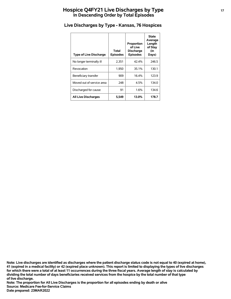# **Hospice Q4FY21 Live Discharges by Type <sup>17</sup> In Descending Order by Total Episodes**

| <b>Type of Live Discharge</b> | Total<br><b>Episodes</b> | Proportion<br>of Live<br><b>Discharge</b><br><b>Episodes</b> | <b>State</b><br>Average<br>Length<br>of Stay<br>(in<br>Days) |
|-------------------------------|--------------------------|--------------------------------------------------------------|--------------------------------------------------------------|
| No longer terminally ill      | 2,351                    | 42.4%                                                        | 246.5                                                        |
| Revocation                    | 1,950                    | 35.1%                                                        | 130.1                                                        |
| Beneficiary transfer          | 909                      | 16.4%                                                        | 123.9                                                        |
| Moved out of service area     | 248                      | 4.5%                                                         | 134.0                                                        |
| Discharged for cause          | 91                       | 1.6%                                                         | 134.6                                                        |
| <b>All Live Discharges</b>    | 5,549                    | 13.0%                                                        | 178.7                                                        |

## **Live Discharges by Type - Kansas, 76 Hospices**

**of live discharge. dividing the total number of days beneficiaries received services from the hospice by the total number of that type for which there were a total of at least 11 occurrences during the three fiscal years. Average length of stay is calculated by 41 (expired in a medical facility) or 42 (expired place unknown). This report is limited to displaying the types of live discharges Note: Live discharges are identified as discharges where the patient discharge status code is not equal to 40 (expired at home),**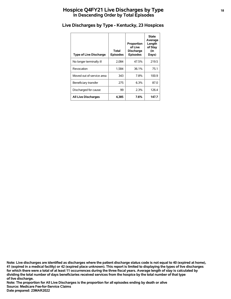# **Hospice Q4FY21 Live Discharges by Type <sup>18</sup> In Descending Order by Total Episodes**

| <b>Type of Live Discharge</b> | Total<br><b>Episodes</b> | Proportion<br>of Live<br><b>Discharge</b><br><b>Episodes</b> | <b>State</b><br>Average<br>Length<br>of Stay<br>(in<br>Days) |
|-------------------------------|--------------------------|--------------------------------------------------------------|--------------------------------------------------------------|
| No longer terminally ill      | 2.084                    | 47.5%                                                        | 219.5                                                        |
| Revocation                    | 1.584                    | 36.1%                                                        | 75.1                                                         |
| Moved out of service area     | 343                      | 7.8%                                                         | 100.9                                                        |
| Beneficiary transfer          | 275                      | 6.3%                                                         | 87.0                                                         |
| Discharged for cause          | 99                       | 2.3%                                                         | 126.4                                                        |
| <b>All Live Discharges</b>    | 4,385                    | 7.6%                                                         | 147.7                                                        |

# **Live Discharges by Type - Kentucky, 23 Hospices**

**of live discharge. dividing the total number of days beneficiaries received services from the hospice by the total number of that type for which there were a total of at least 11 occurrences during the three fiscal years. Average length of stay is calculated by 41 (expired in a medical facility) or 42 (expired place unknown). This report is limited to displaying the types of live discharges Note: Live discharges are identified as discharges where the patient discharge status code is not equal to 40 (expired at home),**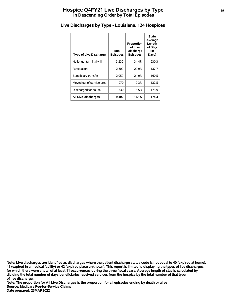# **Hospice Q4FY21 Live Discharges by Type <sup>19</sup> In Descending Order by Total Episodes**

| <b>Type of Live Discharge</b> | Total<br><b>Episodes</b> | Proportion<br>of Live<br><b>Discharge</b><br><b>Episodes</b> | <b>State</b><br>Average<br>Length<br>of Stay<br>(in<br>Days) |
|-------------------------------|--------------------------|--------------------------------------------------------------|--------------------------------------------------------------|
| No longer terminally ill      | 3,232                    | 34.4%                                                        | 230.3                                                        |
| Revocation                    | 2.809                    | 29.9%                                                        | 137.7                                                        |
| Beneficiary transfer          | 2,059                    | 21.9%                                                        | 160.5                                                        |
| Moved out of service area     | 970                      | 10.3%                                                        | 132.5                                                        |
| Discharged for cause          | 330                      | 3.5%                                                         | 173.9                                                        |
| <b>All Live Discharges</b>    | 9,400                    | 14.1%                                                        | 175.3                                                        |

# **Live Discharges by Type - Louisiana, 124 Hospices**

**of live discharge. dividing the total number of days beneficiaries received services from the hospice by the total number of that type for which there were a total of at least 11 occurrences during the three fiscal years. Average length of stay is calculated by 41 (expired in a medical facility) or 42 (expired place unknown). This report is limited to displaying the types of live discharges Note: Live discharges are identified as discharges where the patient discharge status code is not equal to 40 (expired at home),**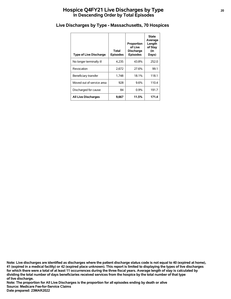# **Hospice Q4FY21 Live Discharges by Type <sup>20</sup> In Descending Order by Total Episodes**

| <b>Type of Live Discharge</b> | Total<br><b>Episodes</b> | Proportion<br>of Live<br><b>Discharge</b><br><b>Episodes</b> | <b>State</b><br>Average<br>Length<br>of Stay<br>(in<br>Days) |
|-------------------------------|--------------------------|--------------------------------------------------------------|--------------------------------------------------------------|
| No longer terminally ill      | 4,235                    | 43.8%                                                        | 252.0                                                        |
| Revocation                    | 2.672                    | 27.6%                                                        | 99.1                                                         |
| Beneficiary transfer          | 1,748                    | 18.1%                                                        | 118.1                                                        |
| Moved out of service area     | 928                      | 9.6%                                                         | 110.4                                                        |
| Discharged for cause          | 84                       | $0.9\%$                                                      | 191.7                                                        |
| <b>All Live Discharges</b>    | 9,667                    | 11.5%                                                        | 171.4                                                        |

#### **Live Discharges by Type - Massachusetts, 70 Hospices**

**of live discharge. dividing the total number of days beneficiaries received services from the hospice by the total number of that type for which there were a total of at least 11 occurrences during the three fiscal years. Average length of stay is calculated by 41 (expired in a medical facility) or 42 (expired place unknown). This report is limited to displaying the types of live discharges Note: Live discharges are identified as discharges where the patient discharge status code is not equal to 40 (expired at home),**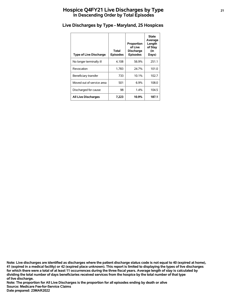# **Hospice Q4FY21 Live Discharges by Type <sup>21</sup> In Descending Order by Total Episodes**

| <b>Type of Live Discharge</b> | Total<br><b>Episodes</b> | Proportion<br>of Live<br><b>Discharge</b><br><b>Episodes</b> | <b>State</b><br>Average<br>Length<br>of Stay<br>(in<br>Days) |
|-------------------------------|--------------------------|--------------------------------------------------------------|--------------------------------------------------------------|
| No longer terminally ill      | 4,108                    | 56.9%                                                        | 251.1                                                        |
| Revocation                    | 1.783                    | 24.7%                                                        | 101.0                                                        |
| Beneficiary transfer          | 733                      | 10.1%                                                        | 102.7                                                        |
| Moved out of service area     | 501                      | 6.9%                                                         | 108.0                                                        |
| Discharged for cause          | 98                       | 1.4%                                                         | 104.5                                                        |
| <b>All Live Discharges</b>    | 7,223                    | 10.9%                                                        | 187.1                                                        |

# **Live Discharges by Type - Maryland, 25 Hospices**

**of live discharge. dividing the total number of days beneficiaries received services from the hospice by the total number of that type for which there were a total of at least 11 occurrences during the three fiscal years. Average length of stay is calculated by 41 (expired in a medical facility) or 42 (expired place unknown). This report is limited to displaying the types of live discharges Note: Live discharges are identified as discharges where the patient discharge status code is not equal to 40 (expired at home),**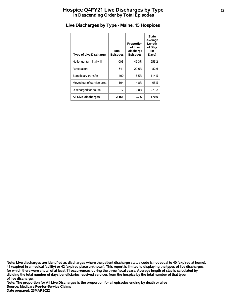# **Hospice Q4FY21 Live Discharges by Type <sup>22</sup> In Descending Order by Total Episodes**

| <b>Type of Live Discharge</b> | Total<br><b>Episodes</b> | Proportion<br>of Live<br><b>Discharge</b><br><b>Episodes</b> | <b>State</b><br>Average<br>Length<br>of Stay<br>(in<br>Days) |
|-------------------------------|--------------------------|--------------------------------------------------------------|--------------------------------------------------------------|
| No longer terminally ill      | 1.003                    | 46.3%                                                        | 255.2                                                        |
| Revocation                    | 641                      | 29.6%                                                        | 82.6                                                         |
| Beneficiary transfer          | 400                      | 18.5%                                                        | 114.5                                                        |
| Moved out of service area     | 104                      | 4.8%                                                         | 95.5                                                         |
| Discharged for cause          | 17                       | $0.8\%$                                                      | 271.2                                                        |
| <b>All Live Discharges</b>    | 2,165                    | 9.7%                                                         | 170.6                                                        |

# **Live Discharges by Type - Maine, 15 Hospices**

**of live discharge. dividing the total number of days beneficiaries received services from the hospice by the total number of that type for which there were a total of at least 11 occurrences during the three fiscal years. Average length of stay is calculated by 41 (expired in a medical facility) or 42 (expired place unknown). This report is limited to displaying the types of live discharges Note: Live discharges are identified as discharges where the patient discharge status code is not equal to 40 (expired at home),**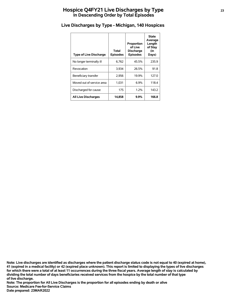# **Hospice Q4FY21 Live Discharges by Type <sup>23</sup> In Descending Order by Total Episodes**

| <b>Type of Live Discharge</b> | Total<br><b>Episodes</b> | Proportion<br>of Live<br><b>Discharge</b><br><b>Episodes</b> | <b>State</b><br>Average<br>Length<br>of Stay<br>(in<br>Days) |
|-------------------------------|--------------------------|--------------------------------------------------------------|--------------------------------------------------------------|
| No longer terminally ill      | 6,762                    | 45.5%                                                        | 235.9                                                        |
| Revocation                    | 3.934                    | 26.5%                                                        | 91.8                                                         |
| Beneficiary transfer          | 2,956                    | 19.9%                                                        | 127.0                                                        |
| Moved out of service area     | 1.031                    | 6.9%                                                         | 118.4                                                        |
| Discharged for cause          | 175                      | 1.2%                                                         | 143.2                                                        |
| <b>All Live Discharges</b>    | 14,858                   | $9.9\%$                                                      | 166.8                                                        |

# **Live Discharges by Type - Michigan, 140 Hospices**

**of live discharge. dividing the total number of days beneficiaries received services from the hospice by the total number of that type for which there were a total of at least 11 occurrences during the three fiscal years. Average length of stay is calculated by 41 (expired in a medical facility) or 42 (expired place unknown). This report is limited to displaying the types of live discharges Note: Live discharges are identified as discharges where the patient discharge status code is not equal to 40 (expired at home),**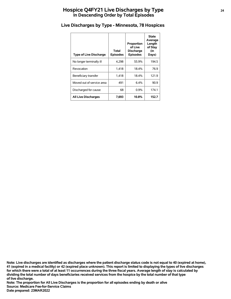# **Hospice Q4FY21 Live Discharges by Type <sup>24</sup> In Descending Order by Total Episodes**

| <b>Type of Live Discharge</b> | Total<br><b>Episodes</b> | Proportion<br>of Live<br><b>Discharge</b><br><b>Episodes</b> | State<br>Average<br>Length<br>of Stay<br>(in<br>Days) |
|-------------------------------|--------------------------|--------------------------------------------------------------|-------------------------------------------------------|
| No longer terminally ill      | 4,298                    | 55.9%                                                        | 194.5                                                 |
| Revocation                    | 1.418                    | 18.4%                                                        | 76.9                                                  |
| Beneficiary transfer          | 1,418                    | 18.4%                                                        | 121.9                                                 |
| Moved out of service area     | 491                      | 6.4%                                                         | 90.9                                                  |
| Discharged for cause          | 68                       | 0.9%                                                         | 174.1                                                 |
| <b>All Live Discharges</b>    | 7,693                    | 10.8%                                                        | 152.7                                                 |

# **Live Discharges by Type - Minnesota, 78 Hospices**

**of live discharge. dividing the total number of days beneficiaries received services from the hospice by the total number of that type for which there were a total of at least 11 occurrences during the three fiscal years. Average length of stay is calculated by 41 (expired in a medical facility) or 42 (expired place unknown). This report is limited to displaying the types of live discharges Note: Live discharges are identified as discharges where the patient discharge status code is not equal to 40 (expired at home),**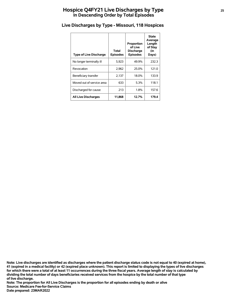# **Hospice Q4FY21 Live Discharges by Type <sup>25</sup> In Descending Order by Total Episodes**

| <b>Type of Live Discharge</b> | Total<br><b>Episodes</b> | Proportion<br>of Live<br><b>Discharge</b><br><b>Episodes</b> | <b>State</b><br>Average<br>Length<br>of Stay<br>(in<br>Days) |
|-------------------------------|--------------------------|--------------------------------------------------------------|--------------------------------------------------------------|
| No longer terminally ill      | 5,923                    | 49.9%                                                        | 232.3                                                        |
| Revocation                    | 2.962                    | 25.0%                                                        | 121.0                                                        |
| Beneficiary transfer          | 2,137                    | 18.0%                                                        | 133.9                                                        |
| Moved out of service area     | 633                      | 5.3%                                                         | 118.1                                                        |
| Discharged for cause          | 213                      | 1.8%                                                         | 157.6                                                        |
| <b>All Live Discharges</b>    | 11,868                   | 12.7%                                                        | 179.4                                                        |

## **Live Discharges by Type - Missouri, 118 Hospices**

**of live discharge. dividing the total number of days beneficiaries received services from the hospice by the total number of that type for which there were a total of at least 11 occurrences during the three fiscal years. Average length of stay is calculated by 41 (expired in a medical facility) or 42 (expired place unknown). This report is limited to displaying the types of live discharges Note: Live discharges are identified as discharges where the patient discharge status code is not equal to 40 (expired at home),**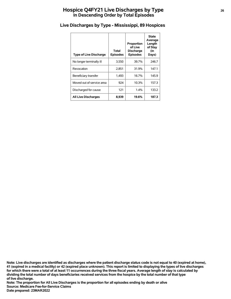# **Hospice Q4FY21 Live Discharges by Type <sup>26</sup> In Descending Order by Total Episodes**

| <b>Type of Live Discharge</b> | Total<br><b>Episodes</b> | Proportion<br>of Live<br><b>Discharge</b><br><b>Episodes</b> | <b>State</b><br>Average<br>Length<br>of Stay<br>(in<br>Days) |
|-------------------------------|--------------------------|--------------------------------------------------------------|--------------------------------------------------------------|
| No longer terminally ill      | 3,550                    | 39.7%                                                        | 246.7                                                        |
| Revocation                    | 2,851                    | 31.9%                                                        | 147.1                                                        |
| Beneficiary transfer          | 1,493                    | 16.7%                                                        | 145.9                                                        |
| Moved out of service area     | 924                      | 10.3%                                                        | 157.3                                                        |
| Discharged for cause          | 121                      | $1.4\%$                                                      | 133.2                                                        |
| <b>All Live Discharges</b>    | 8,939                    | 19.6%                                                        | 187.3                                                        |

# **Live Discharges by Type - Mississippi, 89 Hospices**

**of live discharge. dividing the total number of days beneficiaries received services from the hospice by the total number of that type for which there were a total of at least 11 occurrences during the three fiscal years. Average length of stay is calculated by 41 (expired in a medical facility) or 42 (expired place unknown). This report is limited to displaying the types of live discharges Note: Live discharges are identified as discharges where the patient discharge status code is not equal to 40 (expired at home),**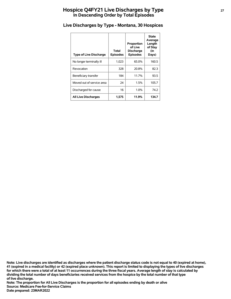# **Hospice Q4FY21 Live Discharges by Type <sup>27</sup> In Descending Order by Total Episodes**

| <b>Type of Live Discharge</b> | Total<br><b>Episodes</b> | Proportion<br>of Live<br><b>Discharge</b><br><b>Episodes</b> | <b>State</b><br>Average<br>Length<br>of Stay<br>(in<br>Days) |
|-------------------------------|--------------------------|--------------------------------------------------------------|--------------------------------------------------------------|
| No longer terminally ill      | 1,023                    | 65.0%                                                        | 160.5                                                        |
| Revocation                    | 328                      | 20.8%                                                        | 82.3                                                         |
| Beneficiary transfer          | 184                      | 11.7%                                                        | 93.5                                                         |
| Moved out of service area     | 24                       | 1.5%                                                         | 105.7                                                        |
| Discharged for cause          | 16                       | 1.0%                                                         | 74.2                                                         |
| <b>All Live Discharges</b>    | 1,575                    | 11.9%                                                        | 134.7                                                        |

## **Live Discharges by Type - Montana, 30 Hospices**

**of live discharge. dividing the total number of days beneficiaries received services from the hospice by the total number of that type for which there were a total of at least 11 occurrences during the three fiscal years. Average length of stay is calculated by 41 (expired in a medical facility) or 42 (expired place unknown). This report is limited to displaying the types of live discharges Note: Live discharges are identified as discharges where the patient discharge status code is not equal to 40 (expired at home),**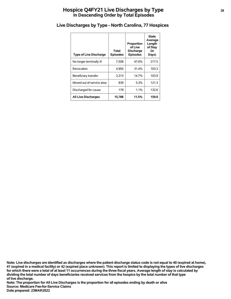# **Hospice Q4FY21 Live Discharges by Type <sup>28</sup> In Descending Order by Total Episodes**

| <b>Type of Live Discharge</b> | Total<br><b>Episodes</b> | Proportion<br>of Live<br><b>Discharge</b><br><b>Episodes</b> | <b>State</b><br>Average<br>Length<br>of Stay<br>(in<br>Days) |
|-------------------------------|--------------------------|--------------------------------------------------------------|--------------------------------------------------------------|
| No longer terminally ill      | 7,508                    | 47.6%                                                        | 217.5                                                        |
| Revocation                    | 4,950                    | 31.4%                                                        | 103.3                                                        |
| Beneficiary transfer          | 2,313                    | 14.7%                                                        | 103.9                                                        |
| Moved out of service area     | 839                      | 5.3%                                                         | 121.3                                                        |
| Discharged for cause          | 178                      | 1.1%                                                         | 132.6                                                        |
| <b>All Live Discharges</b>    | 15,788                   | 11.5%                                                        | 159.0                                                        |

#### **Live Discharges by Type - North Carolina, 77 Hospices**

**of live discharge. dividing the total number of days beneficiaries received services from the hospice by the total number of that type for which there were a total of at least 11 occurrences during the three fiscal years. Average length of stay is calculated by 41 (expired in a medical facility) or 42 (expired place unknown). This report is limited to displaying the types of live discharges Note: Live discharges are identified as discharges where the patient discharge status code is not equal to 40 (expired at home),**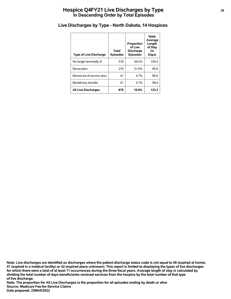# **Hospice Q4FY21 Live Discharges by Type <sup>29</sup> In Descending Order by Total Episodes**

| <b>Type of Live Discharge</b> | Total<br><b>Episodes</b> | Proportion<br>of Live<br><b>Discharge</b><br><b>Episodes</b> | <b>State</b><br>Average<br>Length<br>of Stay<br>(in<br>Days) |
|-------------------------------|--------------------------|--------------------------------------------------------------|--------------------------------------------------------------|
| No longer terminally ill      | 518                      | 59.5%                                                        | 159.4                                                        |
| Revocation                    | 270                      | 31.0%                                                        | 95.6                                                         |
| Moved out of service area     | 41                       | 4 7%                                                         | 85.6                                                         |
| Beneficiary transfer          | 41                       | 4.7%                                                         | 99.4                                                         |
| <b>All Live Discharges</b>    | 870                      | 10.0%                                                        | 133.3                                                        |

## **Live Discharges by Type - North Dakota, 14 Hospices**

**of live discharge. dividing the total number of days beneficiaries received services from the hospice by the total number of that type for which there were a total of at least 11 occurrences during the three fiscal years. Average length of stay is calculated by 41 (expired in a medical facility) or 42 (expired place unknown). This report is limited to displaying the types of live discharges Note: Live discharges are identified as discharges where the patient discharge status code is not equal to 40 (expired at home),**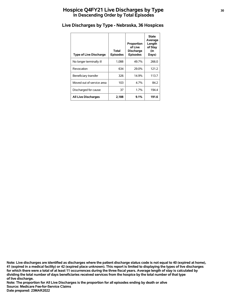# **Hospice Q4FY21 Live Discharges by Type <sup>30</sup> In Descending Order by Total Episodes**

| <b>Type of Live Discharge</b> | Total<br><b>Episodes</b> | Proportion<br>of Live<br><b>Discharge</b><br><b>Episodes</b> | <b>State</b><br>Average<br>Length<br>of Stay<br>(in<br>Days) |
|-------------------------------|--------------------------|--------------------------------------------------------------|--------------------------------------------------------------|
| No longer terminally ill      | 1.088                    | 49.7%                                                        | 266.0                                                        |
| Revocation                    | 634                      | 29.0%                                                        | 121.2                                                        |
| Beneficiary transfer          | 326                      | 14.9%                                                        | 113.7                                                        |
| Moved out of service area     | 103                      | 4.7%                                                         | 84.2                                                         |
| Discharged for cause          | 37                       | 1.7%                                                         | 194.4                                                        |
| <b>All Live Discharges</b>    | 2,188                    | 9.1%                                                         | 191.6                                                        |

## **Live Discharges by Type - Nebraska, 36 Hospices**

**of live discharge. dividing the total number of days beneficiaries received services from the hospice by the total number of that type for which there were a total of at least 11 occurrences during the three fiscal years. Average length of stay is calculated by 41 (expired in a medical facility) or 42 (expired place unknown). This report is limited to displaying the types of live discharges Note: Live discharges are identified as discharges where the patient discharge status code is not equal to 40 (expired at home),**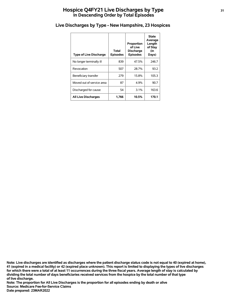# **Hospice Q4FY21 Live Discharges by Type <sup>31</sup> In Descending Order by Total Episodes**

| <b>Type of Live Discharge</b> | Total<br><b>Episodes</b> | Proportion<br>of Live<br><b>Discharge</b><br><b>Episodes</b> | <b>State</b><br>Average<br>Length<br>of Stay<br>(in<br>Days) |
|-------------------------------|--------------------------|--------------------------------------------------------------|--------------------------------------------------------------|
| No longer terminally ill      | 839                      | 47.5%                                                        | 246.7                                                        |
| Revocation                    | 507                      | 28.7%                                                        | 93.2                                                         |
| Beneficiary transfer          | 279                      | 15.8%                                                        | 105.3                                                        |
| Moved out of service area     | 87                       | 4.9%                                                         | 90.7                                                         |
| Discharged for cause          | 54                       | 3.1%                                                         | 163.6                                                        |
| <b>All Live Discharges</b>    | 1,766                    | 10.5%                                                        | 170.1                                                        |

#### **Live Discharges by Type - New Hampshire, 23 Hospices**

**of live discharge. dividing the total number of days beneficiaries received services from the hospice by the total number of that type for which there were a total of at least 11 occurrences during the three fiscal years. Average length of stay is calculated by 41 (expired in a medical facility) or 42 (expired place unknown). This report is limited to displaying the types of live discharges Note: Live discharges are identified as discharges where the patient discharge status code is not equal to 40 (expired at home),**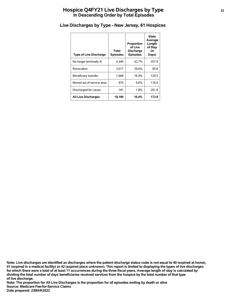# **Hospice Q4FY21 Live Discharges by Type <sup>32</sup> In Descending Order by Total Episodes**

| <b>Type of Live Discharge</b> | Total<br><b>Episodes</b> | Proportion<br>of Live<br><b>Discharge</b><br><b>Episodes</b> | <b>State</b><br>Average<br>Length<br>of Stay<br>(in<br>Days) |
|-------------------------------|--------------------------|--------------------------------------------------------------|--------------------------------------------------------------|
| No longer terminally ill      | 4.349                    | 42.7%                                                        | 257.9                                                        |
| Revocation                    | 3.017                    | 29.6%                                                        | 95.8                                                         |
| Beneficiary transfer          | 1,668                    | 16.4%                                                        | 120.5                                                        |
| Moved out of service area     | 975                      | 9.6%                                                         | 116.9                                                        |
| Discharged for cause          | 181                      | 1.8%                                                         | 201.9                                                        |
| <b>All Live Discharges</b>    | 10,190                   | 10.4%                                                        | 172.9                                                        |

# **Live Discharges by Type - New Jersey, 61 Hospices**

**of live discharge. dividing the total number of days beneficiaries received services from the hospice by the total number of that type for which there were a total of at least 11 occurrences during the three fiscal years. Average length of stay is calculated by 41 (expired in a medical facility) or 42 (expired place unknown). This report is limited to displaying the types of live discharges Note: Live discharges are identified as discharges where the patient discharge status code is not equal to 40 (expired at home),**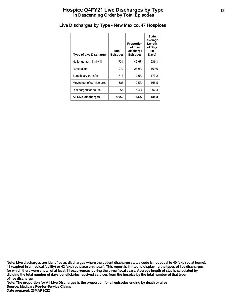# **Hospice Q4FY21 Live Discharges by Type <sup>33</sup> In Descending Order by Total Episodes**

| <b>Type of Live Discharge</b> | Total<br><b>Episodes</b> | Proportion<br>of Live<br><b>Discharge</b><br><b>Episodes</b> | <b>State</b><br>Average<br>Length<br>of Stay<br>(in<br>Days) |
|-------------------------------|--------------------------|--------------------------------------------------------------|--------------------------------------------------------------|
| No longer terminally ill      | 1.731                    | 42.6%                                                        | 236.1                                                        |
| Revocation                    | 972                      | 23.9%                                                        | 109.0                                                        |
| Beneficiary transfer          | 713                      | 17.6%                                                        | 173.2                                                        |
| Moved out of service area     | 385                      | 9.5%                                                         | 165.5                                                        |
| Discharged for cause          | 258                      | 6.4%                                                         | 202.3                                                        |
| <b>All Live Discharges</b>    | 4,059                    | 15.6%                                                        | 185.8                                                        |

# **Live Discharges by Type - New Mexico, 47 Hospices**

**of live discharge. dividing the total number of days beneficiaries received services from the hospice by the total number of that type for which there were a total of at least 11 occurrences during the three fiscal years. Average length of stay is calculated by 41 (expired in a medical facility) or 42 (expired place unknown). This report is limited to displaying the types of live discharges Note: Live discharges are identified as discharges where the patient discharge status code is not equal to 40 (expired at home),**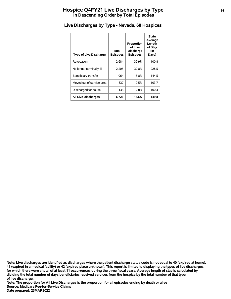# **Hospice Q4FY21 Live Discharges by Type <sup>34</sup> In Descending Order by Total Episodes**

| <b>Type of Live Discharge</b> | Total<br><b>Episodes</b> | Proportion<br>of Live<br><b>Discharge</b><br><b>Episodes</b> | <b>State</b><br>Average<br>Length<br>of Stay<br>(in<br>Days) |
|-------------------------------|--------------------------|--------------------------------------------------------------|--------------------------------------------------------------|
| Revocation                    | 2.684                    | 39.9%                                                        | 100.8                                                        |
| No longer terminally ill      | 2,205                    | 32.8%                                                        | 228.5                                                        |
| Beneficiary transfer          | 1.064                    | 15.8%                                                        | 144.5                                                        |
| Moved out of service area     | 637                      | 9.5%                                                         | 103.7                                                        |
| Discharged for cause          | 133                      | 2.0%                                                         | 100.4                                                        |
| <b>All Live Discharges</b>    | 6,723                    | 17.6%                                                        | 149.8                                                        |

# **Live Discharges by Type - Nevada, 68 Hospices**

**of live discharge. dividing the total number of days beneficiaries received services from the hospice by the total number of that type for which there were a total of at least 11 occurrences during the three fiscal years. Average length of stay is calculated by 41 (expired in a medical facility) or 42 (expired place unknown). This report is limited to displaying the types of live discharges Note: Live discharges are identified as discharges where the patient discharge status code is not equal to 40 (expired at home),**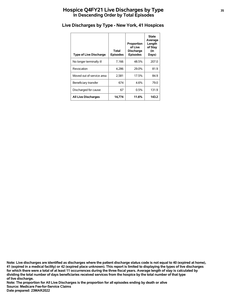# **Hospice Q4FY21 Live Discharges by Type <sup>35</sup> In Descending Order by Total Episodes**

| <b>Type of Live Discharge</b> | Total<br><b>Episodes</b> | Proportion<br>of Live<br><b>Discharge</b><br><b>Episodes</b> | <b>State</b><br>Average<br>Length<br>of Stay<br>(in<br>Days) |
|-------------------------------|--------------------------|--------------------------------------------------------------|--------------------------------------------------------------|
| No longer terminally ill      | 7,166                    | 48.5%                                                        | 207.0                                                        |
| Revocation                    | 4.286                    | 29.0%                                                        | 81.9                                                         |
| Moved out of service area     | 2,581                    | 17.5%                                                        | 84.9                                                         |
| Beneficiary transfer          | 674                      | 4.6%                                                         | 79.0                                                         |
| Discharged for cause          | 67                       | 0.5%                                                         | 131.9                                                        |
| <b>All Live Discharges</b>    | 14,774                   | 11.6%                                                        | 143.2                                                        |

## **Live Discharges by Type - New York, 41 Hospices**

**of live discharge. dividing the total number of days beneficiaries received services from the hospice by the total number of that type for which there were a total of at least 11 occurrences during the three fiscal years. Average length of stay is calculated by 41 (expired in a medical facility) or 42 (expired place unknown). This report is limited to displaying the types of live discharges Note: Live discharges are identified as discharges where the patient discharge status code is not equal to 40 (expired at home),**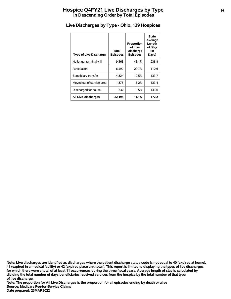# **Hospice Q4FY21 Live Discharges by Type <sup>36</sup> In Descending Order by Total Episodes**

| <b>Type of Live Discharge</b> | Total<br><b>Episodes</b> | Proportion<br>of Live<br><b>Discharge</b><br><b>Episodes</b> | <b>State</b><br>Average<br>Length<br>of Stay<br>(in<br>Days) |
|-------------------------------|--------------------------|--------------------------------------------------------------|--------------------------------------------------------------|
| No longer terminally ill      | 9,568                    | 43.1%                                                        | 238.8                                                        |
| Revocation                    | 6,592                    | 29.7%                                                        | 110.6                                                        |
| Beneficiary transfer          | 4.324                    | 19.5%                                                        | 133.7                                                        |
| Moved out of service area     | 1,378                    | 6.2%                                                         | 133.4                                                        |
| Discharged for cause          | 332                      | 1.5%                                                         | 133.6                                                        |
| <b>All Live Discharges</b>    | 22,194                   | 11.1%                                                        | 172.2                                                        |

# **Live Discharges by Type - Ohio, 139 Hospices**

**of live discharge. dividing the total number of days beneficiaries received services from the hospice by the total number of that type for which there were a total of at least 11 occurrences during the three fiscal years. Average length of stay is calculated by 41 (expired in a medical facility) or 42 (expired place unknown). This report is limited to displaying the types of live discharges Note: Live discharges are identified as discharges where the patient discharge status code is not equal to 40 (expired at home),**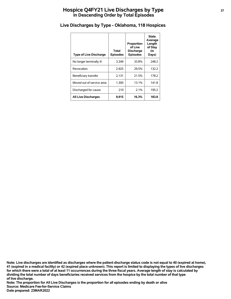# **Hospice Q4FY21 Live Discharges by Type <sup>37</sup> In Descending Order by Total Episodes**

| <b>Type of Live Discharge</b> | Total<br><b>Episodes</b> | Proportion<br>of Live<br><b>Discharge</b><br><b>Episodes</b> | <b>State</b><br>Average<br>Length<br>of Stay<br>(in<br>Days) |
|-------------------------------|--------------------------|--------------------------------------------------------------|--------------------------------------------------------------|
| No longer terminally ill      | 3.349                    | 33.8%                                                        | 248.2                                                        |
| Revocation                    | 2.925                    | 29.5%                                                        | 132.2                                                        |
| Beneficiary transfer          | 2,131                    | 21.5%                                                        | 178.2                                                        |
| Moved out of service area     | 1,300                    | 13.1%                                                        | 141.8                                                        |
| Discharged for cause          | 210                      | 2.1%                                                         | 195.2                                                        |
| <b>All Live Discharges</b>    | 9.915                    | 16.3%                                                        | 183.8                                                        |

# **Live Discharges by Type - Oklahoma, 118 Hospices**

**of live discharge. dividing the total number of days beneficiaries received services from the hospice by the total number of that type for which there were a total of at least 11 occurrences during the three fiscal years. Average length of stay is calculated by 41 (expired in a medical facility) or 42 (expired place unknown). This report is limited to displaying the types of live discharges Note: Live discharges are identified as discharges where the patient discharge status code is not equal to 40 (expired at home),**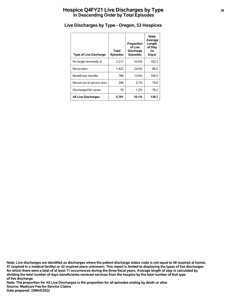# **Hospice Q4FY21 Live Discharges by Type <sup>38</sup> In Descending Order by Total Episodes**

| <b>Type of Live Discharge</b> | Total<br><b>Episodes</b> | Proportion<br>of Live<br><b>Discharge</b><br><b>Episodes</b> | <b>State</b><br>Average<br>Length<br>of Stay<br>(in<br>Days) |
|-------------------------------|--------------------------|--------------------------------------------------------------|--------------------------------------------------------------|
| No longer terminally ill      | 3,217                    | 55.6%                                                        | 182.3                                                        |
| Revocation                    | 1,422                    | 24.6%                                                        | 80.5                                                         |
| Beneficiary transfer          | 786                      | 13.6%                                                        | 100.5                                                        |
| Moved out of service area     | 296                      | 5.1%                                                         | 79.6                                                         |
| Discharged for cause          | 70                       | 1.2%                                                         | 76.2                                                         |
| <b>All Live Discharges</b>    | 5,791                    | 10.1%                                                        | 139.7                                                        |

# **Live Discharges by Type - Oregon, 53 Hospices**

**of live discharge. dividing the total number of days beneficiaries received services from the hospice by the total number of that type for which there were a total of at least 11 occurrences during the three fiscal years. Average length of stay is calculated by 41 (expired in a medical facility) or 42 (expired place unknown). This report is limited to displaying the types of live discharges Note: Live discharges are identified as discharges where the patient discharge status code is not equal to 40 (expired at home),**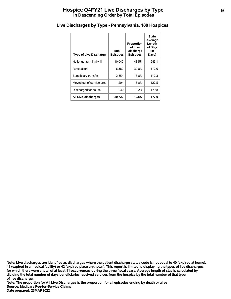# **Hospice Q4FY21 Live Discharges by Type <sup>39</sup> In Descending Order by Total Episodes**

| <b>Type of Live Discharge</b> | Total<br><b>Episodes</b> | Proportion<br>of Live<br><b>Discharge</b><br><b>Episodes</b> | State<br>Average<br>Length<br>of Stay<br>(in<br>Days) |
|-------------------------------|--------------------------|--------------------------------------------------------------|-------------------------------------------------------|
| No longer terminally ill      | 10.042                   | 48.5%                                                        | 243.1                                                 |
| Revocation                    | 6.382                    | 30.8%                                                        | 112.0                                                 |
| Beneficiary transfer          | 2,854                    | 13.8%                                                        | 112.3                                                 |
| Moved out of service area     | 1,204                    | 5.8%                                                         | 122.5                                                 |
| Discharged for cause          | 240                      | 1.2%                                                         | 179.8                                                 |
| <b>All Live Discharges</b>    | 20.722                   | 10.8%                                                        | 177.0                                                 |

## **Live Discharges by Type - Pennsylvania, 180 Hospices**

**of live discharge. dividing the total number of days beneficiaries received services from the hospice by the total number of that type for which there were a total of at least 11 occurrences during the three fiscal years. Average length of stay is calculated by 41 (expired in a medical facility) or 42 (expired place unknown). This report is limited to displaying the types of live discharges Note: Live discharges are identified as discharges where the patient discharge status code is not equal to 40 (expired at home),**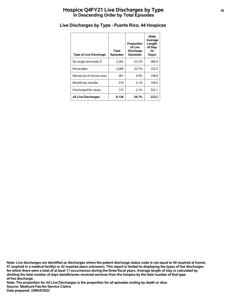# **Hospice Q4FY21 Live Discharges by Type <sup>40</sup> In Descending Order by Total Episodes**

| <b>Type of Live Discharge</b> | Total<br><b>Episodes</b> | Proportion<br>of Live<br><b>Discharge</b><br><b>Episodes</b> | <b>State</b><br>Average<br>Length<br>of Stay<br>(in<br>Days) |
|-------------------------------|--------------------------|--------------------------------------------------------------|--------------------------------------------------------------|
| No longer terminally ill      | 3.265                    | 53.2%                                                        | 284.0                                                        |
| Revocation                    | 2.069                    | 33.7%                                                        | 152.3                                                        |
| Moved out of service area     | 361                      | 5.9%                                                         | 149.8                                                        |
| Beneficiary transfer          | 310                      | 5.1%                                                         | 100.0                                                        |
| Discharged for cause          | 131                      | 2.1%                                                         | 322.1                                                        |
| <b>All Live Discharges</b>    | 6,136                    | 28.7%                                                        | 223.2                                                        |

## **Live Discharges by Type - Puerto Rico, 44 Hospices**

**of live discharge. dividing the total number of days beneficiaries received services from the hospice by the total number of that type for which there were a total of at least 11 occurrences during the three fiscal years. Average length of stay is calculated by 41 (expired in a medical facility) or 42 (expired place unknown). This report is limited to displaying the types of live discharges Note: Live discharges are identified as discharges where the patient discharge status code is not equal to 40 (expired at home),**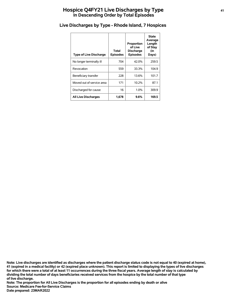# **Hospice Q4FY21 Live Discharges by Type <sup>41</sup> In Descending Order by Total Episodes**

| <b>Type of Live Discharge</b> | Total<br><b>Episodes</b> | Proportion<br>of Live<br><b>Discharge</b><br><b>Episodes</b> | <b>State</b><br>Average<br>Length<br>of Stay<br>(in<br>Days) |
|-------------------------------|--------------------------|--------------------------------------------------------------|--------------------------------------------------------------|
| No longer terminally ill      | 704                      | 42.0%                                                        | 259.5                                                        |
| Revocation                    | 559                      | 33.3%                                                        | 104.9                                                        |
| Beneficiary transfer          | 228                      | 13.6%                                                        | 101.7                                                        |
| Moved out of service area     | 171                      | 10.2%                                                        | 87.1                                                         |
| Discharged for cause          | 16                       | 1.0%                                                         | 309.9                                                        |
| <b>All Live Discharges</b>    | 1.678                    | 9.6%                                                         | 169.5                                                        |

# **Live Discharges by Type - Rhode Island, 7 Hospices**

**of live discharge. dividing the total number of days beneficiaries received services from the hospice by the total number of that type for which there were a total of at least 11 occurrences during the three fiscal years. Average length of stay is calculated by 41 (expired in a medical facility) or 42 (expired place unknown). This report is limited to displaying the types of live discharges Note: Live discharges are identified as discharges where the patient discharge status code is not equal to 40 (expired at home),**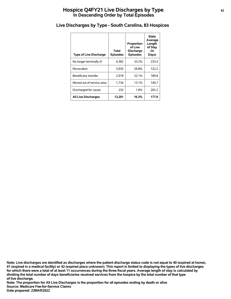# **Hospice Q4FY21 Live Discharges by Type <sup>42</sup> In Descending Order by Total Episodes**

| <b>Type of Live Discharge</b> | Total<br><b>Episodes</b> | Proportion<br>of Live<br><b>Discharge</b><br><b>Episodes</b> | <b>State</b><br>Average<br>Length<br>of Stay<br>(in<br>Days) |
|-------------------------------|--------------------------|--------------------------------------------------------------|--------------------------------------------------------------|
| No longer terminally ill      | 4.382                    | 33.2%                                                        | 233.4                                                        |
| Revocation                    | 3.935                    | 29.8%                                                        | 122.2                                                        |
| Beneficiary transfer          | 2,918                    | 22.1%                                                        | 189.8                                                        |
| Moved out of service area     | 1,734                    | 13.1%                                                        | 140.7                                                        |
| Discharged for cause          | 232                      | 1.8%                                                         | 202.2                                                        |
| <b>All Live Discharges</b>    | 13,201                   | 16.3%                                                        | 177.9                                                        |

# **Live Discharges by Type - South Carolina, 83 Hospices**

**of live discharge. dividing the total number of days beneficiaries received services from the hospice by the total number of that type for which there were a total of at least 11 occurrences during the three fiscal years. Average length of stay is calculated by 41 (expired in a medical facility) or 42 (expired place unknown). This report is limited to displaying the types of live discharges Note: Live discharges are identified as discharges where the patient discharge status code is not equal to 40 (expired at home),**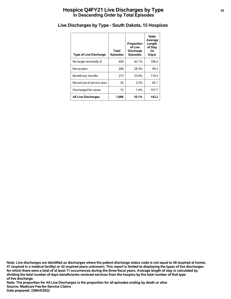# **Hospice Q4FY21 Live Discharges by Type <sup>43</sup> In Descending Order by Total Episodes**

| <b>Type of Live Discharge</b> | Total<br><b>Episodes</b> | Proportion<br>of Live<br><b>Discharge</b><br><b>Episodes</b> | State<br>Average<br>Length<br>of Stay<br>(in<br>Days) |
|-------------------------------|--------------------------|--------------------------------------------------------------|-------------------------------------------------------|
| No longer terminally ill      | 459                      | 42.1%                                                        | 196.4                                                 |
| Revocation                    | 308                      | 28.3%                                                        | 99.3                                                  |
| Beneficiary transfer          | 273                      | 25.0%                                                        | 110.3                                                 |
| Moved out of service area     | 35                       | $3.2\%$                                                      | 82.1                                                  |
| Discharged for cause          | 15                       | 1.4%                                                         | 157.7                                                 |
| <b>All Live Discharges</b>    | 1,090                    | 10.1%                                                        | 143.2                                                 |

# **Live Discharges by Type - South Dakota, 15 Hospices**

**of live discharge. dividing the total number of days beneficiaries received services from the hospice by the total number of that type for which there were a total of at least 11 occurrences during the three fiscal years. Average length of stay is calculated by 41 (expired in a medical facility) or 42 (expired place unknown). This report is limited to displaying the types of live discharges Note: Live discharges are identified as discharges where the patient discharge status code is not equal to 40 (expired at home),**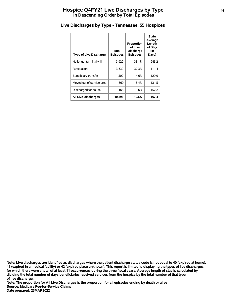# **Hospice Q4FY21 Live Discharges by Type <sup>44</sup> In Descending Order by Total Episodes**

| <b>Type of Live Discharge</b> | Total<br><b>Episodes</b> | Proportion<br>of Live<br><b>Discharge</b><br><b>Episodes</b> | <b>State</b><br>Average<br>Length<br>of Stay<br>(in<br>Days) |
|-------------------------------|--------------------------|--------------------------------------------------------------|--------------------------------------------------------------|
| No longer terminally ill      | 3,920                    | 38.1%                                                        | 245.2                                                        |
| Revocation                    | 3,839                    | 37.3%                                                        | 111.4                                                        |
| Beneficiary transfer          | 1,502                    | 14.6%                                                        | 129.9                                                        |
| Moved out of service area     | 869                      | 8.4%                                                         | 131.5                                                        |
| Discharged for cause          | 163                      | 1.6%                                                         | 152.2                                                        |
| <b>All Live Discharges</b>    | 10.293                   | 10.6%                                                        | 167.4                                                        |

# **Live Discharges by Type - Tennessee, 55 Hospices**

**of live discharge. dividing the total number of days beneficiaries received services from the hospice by the total number of that type for which there were a total of at least 11 occurrences during the three fiscal years. Average length of stay is calculated by 41 (expired in a medical facility) or 42 (expired place unknown). This report is limited to displaying the types of live discharges Note: Live discharges are identified as discharges where the patient discharge status code is not equal to 40 (expired at home),**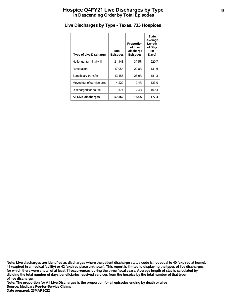# **Hospice Q4FY21 Live Discharges by Type <sup>45</sup> In Descending Order by Total Episodes**

| <b>Type of Live Discharge</b> | Total<br><b>Episodes</b> | Proportion<br>of Live<br><b>Discharge</b><br><b>Episodes</b> | <b>State</b><br>Average<br>Length<br>of Stay<br>(in<br>Days) |
|-------------------------------|--------------------------|--------------------------------------------------------------|--------------------------------------------------------------|
| No longer terminally ill      | 21.448                   | 37.5%                                                        | 220.7                                                        |
| Revocation                    | 17.054                   | 29.8%                                                        | 131.6                                                        |
| Beneficiary transfer          | 13,155                   | 23.0%                                                        | 181.3                                                        |
| Moved out of service area     | 4,229                    | $7.4\%$                                                      | 133.0                                                        |
| Discharged for cause          | 1,374                    | 2.4%                                                         | 169.3                                                        |
| <b>All Live Discharges</b>    | 57.260                   | 17.4%                                                        | 177.4                                                        |

# **Live Discharges by Type - Texas, 735 Hospices**

**of live discharge. dividing the total number of days beneficiaries received services from the hospice by the total number of that type for which there were a total of at least 11 occurrences during the three fiscal years. Average length of stay is calculated by 41 (expired in a medical facility) or 42 (expired place unknown). This report is limited to displaying the types of live discharges Note: Live discharges are identified as discharges where the patient discharge status code is not equal to 40 (expired at home),**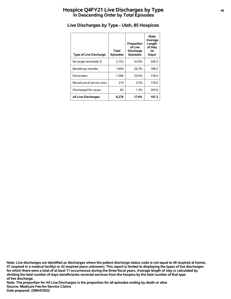# **Hospice Q4FY21 Live Discharges by Type <sup>46</sup> In Descending Order by Total Episodes**

| <b>Type of Live Discharge</b> | Total<br><b>Episodes</b> | Proportion<br>of Live<br><b>Discharge</b><br><b>Episodes</b> | <b>State</b><br>Average<br>Length<br>of Stay<br>(in<br>Days) |
|-------------------------------|--------------------------|--------------------------------------------------------------|--------------------------------------------------------------|
| No longer terminally ill      | 2,753                    | 43.9%                                                        | 240.3                                                        |
| Beneficiary transfer          | 1,650                    | 26.3%                                                        | 188.5                                                        |
| Revocation                    | 1,566                    | 25.0%                                                        | 139.4                                                        |
| Moved out of service area     | 219                      | 3.5%                                                         | 135.6                                                        |
| Discharged for cause          | 82                       | 1.3%                                                         | 203.8                                                        |
| <b>All Live Discharges</b>    | 6.270                    | 17.9%                                                        | 197.3                                                        |

# **Live Discharges by Type - Utah, 85 Hospices**

**of live discharge. dividing the total number of days beneficiaries received services from the hospice by the total number of that type for which there were a total of at least 11 occurrences during the three fiscal years. Average length of stay is calculated by 41 (expired in a medical facility) or 42 (expired place unknown). This report is limited to displaying the types of live discharges Note: Live discharges are identified as discharges where the patient discharge status code is not equal to 40 (expired at home),**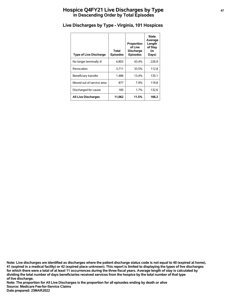# **Hospice Q4FY21 Live Discharges by Type <sup>47</sup> In Descending Order by Total Episodes**

| <b>Type of Live Discharge</b> | Total<br><b>Episodes</b> | Proportion<br>of Live<br><b>Discharge</b><br><b>Episodes</b> | <b>State</b><br>Average<br>Length<br>of Stay<br>(in<br>Days) |
|-------------------------------|--------------------------|--------------------------------------------------------------|--------------------------------------------------------------|
| No longer terminally ill      | 4,803                    | 43.4%                                                        | 226.9                                                        |
| Revocation                    | 3,711                    | 33.5%                                                        | 112.8                                                        |
| Beneficiary transfer          | 1,486                    | 13.4%                                                        | 135.1                                                        |
| Moved out of service area     | 877                      | 7.9%                                                         | 118.8                                                        |
| Discharged for cause          | 185                      | 1.7%                                                         | 132.6                                                        |
| <b>All Live Discharges</b>    | 11,062                   | 11.5%                                                        | 166.2                                                        |

# **Live Discharges by Type - Virginia, 101 Hospices**

**of live discharge. dividing the total number of days beneficiaries received services from the hospice by the total number of that type for which there were a total of at least 11 occurrences during the three fiscal years. Average length of stay is calculated by 41 (expired in a medical facility) or 42 (expired place unknown). This report is limited to displaying the types of live discharges Note: Live discharges are identified as discharges where the patient discharge status code is not equal to 40 (expired at home),**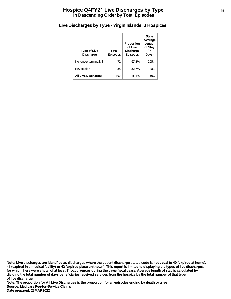# **Hospice Q4FY21 Live Discharges by Type <sup>48</sup> In Descending Order by Total Episodes**

# **Live Discharges by Type - Virgin Islands, 3 Hospices**

| <b>Type of Live</b><br><b>Discharge</b> | <b>Total</b><br><b>Episodes</b> | Proportion<br>of Live<br><b>Discharge</b><br><b>Episodes</b> | <b>State</b><br>Average<br>Length<br>of Stay<br>(in<br>Days) |
|-----------------------------------------|---------------------------------|--------------------------------------------------------------|--------------------------------------------------------------|
| No longer terminally ill                | 72                              | 67.3%                                                        | 205.4                                                        |
| Revocation                              | 35                              | 32.7%                                                        | 148.9                                                        |
| <b>All Live Discharges</b>              | 107                             | 18.1%                                                        | 186.9                                                        |

**of live discharge. dividing the total number of days beneficiaries received services from the hospice by the total number of that type for which there were a total of at least 11 occurrences during the three fiscal years. Average length of stay is calculated by 41 (expired in a medical facility) or 42 (expired place unknown). This report is limited to displaying the types of live discharges Note: Live discharges are identified as discharges where the patient discharge status code is not equal to 40 (expired at home),**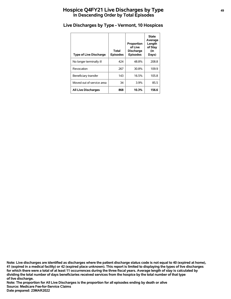# **Hospice Q4FY21 Live Discharges by Type <sup>49</sup> In Descending Order by Total Episodes**

| <b>Type of Live Discharge</b> | Total<br><b>Episodes</b> | Proportion<br>of Live<br><b>Discharge</b><br><b>Episodes</b> | <b>State</b><br>Average<br>Length<br>of Stay<br>(in<br>Days) |
|-------------------------------|--------------------------|--------------------------------------------------------------|--------------------------------------------------------------|
| No longer terminally ill      | 424                      | 48.8%                                                        | 208.8                                                        |
| Revocation                    | 267                      | 30.8%                                                        | 109.9                                                        |
| Beneficiary transfer          | 143                      | 16.5%                                                        | 105.8                                                        |
| Moved out of service area     | 34                       | 3.9%                                                         | 85.5                                                         |
| <b>All Live Discharges</b>    | 868                      | 10.3%                                                        | 156.6                                                        |

# **Live Discharges by Type - Vermont, 10 Hospices**

**of live discharge. dividing the total number of days beneficiaries received services from the hospice by the total number of that type for which there were a total of at least 11 occurrences during the three fiscal years. Average length of stay is calculated by 41 (expired in a medical facility) or 42 (expired place unknown). This report is limited to displaying the types of live discharges Note: Live discharges are identified as discharges where the patient discharge status code is not equal to 40 (expired at home),**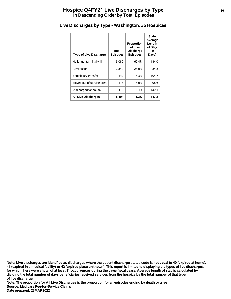# **Hospice Q4FY21 Live Discharges by Type** 50 **In Descending Order by Total Episodes**

| <b>Type of Live Discharge</b> | Total<br><b>Episodes</b> | Proportion<br>of Live<br><b>Discharge</b><br><b>Episodes</b> | <b>State</b><br>Average<br>Length<br>of Stay<br>(in<br>Days) |
|-------------------------------|--------------------------|--------------------------------------------------------------|--------------------------------------------------------------|
| No longer terminally ill      | 5.080                    | 60.4%                                                        | 184.0                                                        |
| Revocation                    | 2.349                    | 28.0%                                                        | 84.8                                                         |
| Beneficiary transfer          | 442                      | 5.3%                                                         | 104.7                                                        |
| Moved out of service area     | 418                      | $5.0\%$                                                      | 98.6                                                         |
| Discharged for cause          | 115                      | 1.4%                                                         | 139.1                                                        |
| <b>All Live Discharges</b>    | 8.404                    | 11.2%                                                        | 147.2                                                        |

# **Live Discharges by Type - Washington, 36 Hospices**

**of live discharge. dividing the total number of days beneficiaries received services from the hospice by the total number of that type for which there were a total of at least 11 occurrences during the three fiscal years. Average length of stay is calculated by 41 (expired in a medical facility) or 42 (expired place unknown). This report is limited to displaying the types of live discharges Note: Live discharges are identified as discharges where the patient discharge status code is not equal to 40 (expired at home),**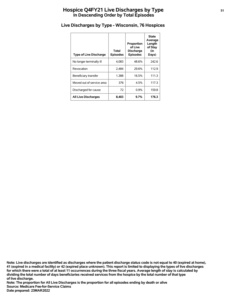# **Hospice Q4FY21 Live Discharges by Type <sup>51</sup> In Descending Order by Total Episodes**

| <b>Type of Live Discharge</b> | Total<br><b>Episodes</b> | Proportion<br>of Live<br><b>Discharge</b><br><b>Episodes</b> | <b>State</b><br>Average<br>Length<br>of Stay<br>(in<br>Days) |
|-------------------------------|--------------------------|--------------------------------------------------------------|--------------------------------------------------------------|
| No longer terminally ill      | 4.083                    | 48.6%                                                        | 242.6                                                        |
| Revocation                    | 2.484                    | 29.6%                                                        | 112.9                                                        |
| Beneficiary transfer          | 1,388                    | 16.5%                                                        | 111.3                                                        |
| Moved out of service area     | 376                      | 4.5%                                                         | 117.3                                                        |
| Discharged for cause          | 72                       | $0.9\%$                                                      | 159.8                                                        |
| <b>All Live Discharges</b>    | 8,403                    | 9.7%                                                         | 176.3                                                        |

# **Live Discharges by Type - Wisconsin, 76 Hospices**

**of live discharge. dividing the total number of days beneficiaries received services from the hospice by the total number of that type for which there were a total of at least 11 occurrences during the three fiscal years. Average length of stay is calculated by 41 (expired in a medical facility) or 42 (expired place unknown). This report is limited to displaying the types of live discharges Note: Live discharges are identified as discharges where the patient discharge status code is not equal to 40 (expired at home),**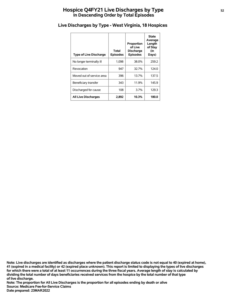# **Hospice Q4FY21 Live Discharges by Type <sup>52</sup> In Descending Order by Total Episodes**

| <b>Type of Live Discharge</b> | Total<br><b>Episodes</b> | Proportion<br>of Live<br><b>Discharge</b><br><b>Episodes</b> | State<br>Average<br>Length<br>of Stay<br>(in<br>Days) |
|-------------------------------|--------------------------|--------------------------------------------------------------|-------------------------------------------------------|
| No longer terminally ill      | 1,098                    | 38.0%                                                        | 259.2                                                 |
| Revocation                    | 947                      | 32.7%                                                        | 124.0                                                 |
| Moved out of service area     | 396                      | 13.7%                                                        | 137.5                                                 |
| Beneficiary transfer          | 343                      | 11.9%                                                        | 145.9                                                 |
| Discharged for cause          | 108                      | 3.7%                                                         | 129.3                                                 |
| <b>All Live Discharges</b>    | 2,892                    | 10.3%                                                        | 180.0                                                 |

# **Live Discharges by Type - West Virginia, 18 Hospices**

**of live discharge. dividing the total number of days beneficiaries received services from the hospice by the total number of that type for which there were a total of at least 11 occurrences during the three fiscal years. Average length of stay is calculated by 41 (expired in a medical facility) or 42 (expired place unknown). This report is limited to displaying the types of live discharges Note: Live discharges are identified as discharges where the patient discharge status code is not equal to 40 (expired at home),**